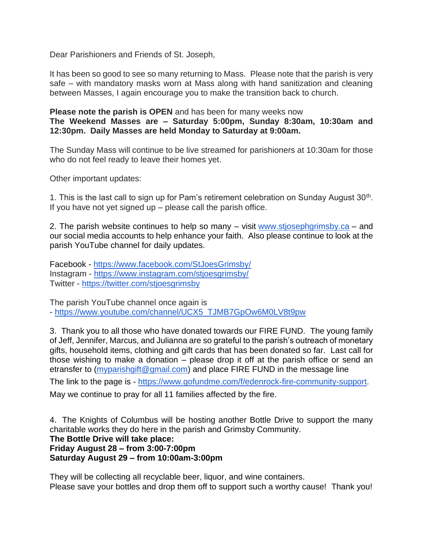Dear Parishioners and Friends of St. Joseph,

It has been so good to see so many returning to Mass. Please note that the parish is very safe – with mandatory masks worn at Mass along with hand sanitization and cleaning between Masses, I again encourage you to make the transition back to church.

**Please note the parish is OPEN** and has been for many weeks now

**The Weekend Masses are – Saturday 5:00pm, Sunday 8:30am, 10:30am and 12:30pm. Daily Masses are held Monday to Saturday at 9:00am.**

The Sunday Mass will continue to be live streamed for parishioners at 10:30am for those who do not feel ready to leave their homes yet.

Other important updates:

1. This is the last call to sign up for Pam's retirement celebration on Sunday August  $30<sup>th</sup>$ . If you have not yet signed up  $-$  please call the parish office.

2. The parish website continues to help so many – visit [www.stjosephgrimsby.ca](http://www.stjosephgrimsby.ca/) – and our social media accounts to help enhance your faith. Also please continue to look at the parish YouTube channel for daily updates.

Facebook - <https://www.facebook.com/StJoesGrimsby/> Instagram - <https://www.instagram.com/stjoesgrimsby/> Twitter - <https://twitter.com/stjoesgrimsby>

The parish YouTube channel once again is - [https://www.youtube.com/channel/UCX5\\_TJMB7GpOw6M0LV8t9pw](https://www.youtube.com/channel/UCX5_TJMB7GpOw6M0LV8t9pw)

3. Thank you to all those who have donated towards our FIRE FUND. The young family of Jeff, Jennifer, Marcus, and Julianna are so grateful to the parish's outreach of monetary gifts, household items, clothing and gift cards that has been donated so far. Last call for those wishing to make a donation – please drop it off at the parish office or send an etransfer to [\(myparishgift@gmail.com\)](mailto:myparishgift@gmail.com) and place FIRE FUND in the message line

The link to the page is - [https://www.gofundme.com/f/edenrock-fire-community-support.](https://www.gofundme.com/f/edenrock-fire-community-support) May we continue to pray for all 11 families affected by the fire.

4. The Knights of Columbus will be hosting another Bottle Drive to support the many charitable works they do here in the parish and Grimsby Community. **The Bottle Drive will take place: Friday August 28 – from 3:00-7:00pm Saturday August 29 – from 10:00am-3:00pm**

They will be collecting all recyclable beer, liquor, and wine containers. Please save your bottles and drop them off to support such a worthy cause! Thank you!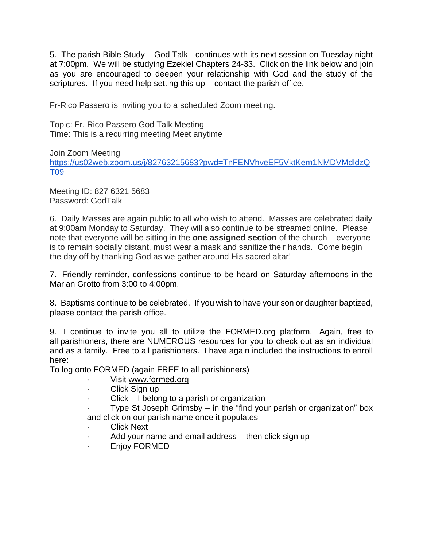5. The parish Bible Study – God Talk - continues with its next session on Tuesday night at 7:00pm. We will be studying Ezekiel Chapters 24-33. Click on the link below and join as you are encouraged to deepen your relationship with God and the study of the scriptures. If you need help setting this  $up$  – contact the parish office.

Fr-Rico Passero is inviting you to a scheduled Zoom meeting.

Topic: Fr. Rico Passero God Talk Meeting Time: This is a recurring meeting Meet anytime

Join Zoom Meeting [https://us02web.zoom.us/j/82763215683?pwd=TnFENVhveEF5VktKem1NMDVMdldzQ](https://us02web.zoom.us/j/82763215683?pwd=TnFENVhveEF5VktKem1NMDVMdldzQT09) [T09](https://us02web.zoom.us/j/82763215683?pwd=TnFENVhveEF5VktKem1NMDVMdldzQT09)

Meeting ID: 827 6321 5683 Password: GodTalk

6. Daily Masses are again public to all who wish to attend. Masses are celebrated daily at 9:00am Monday to Saturday. They will also continue to be streamed online. Please note that everyone will be sitting in the **one assigned section** of the church – everyone is to remain socially distant, must wear a mask and sanitize their hands. Come begin the day off by thanking God as we gather around His sacred altar!

7. Friendly reminder, confessions continue to be heard on Saturday afternoons in the Marian Grotto from 3:00 to 4:00pm.

8. Baptisms continue to be celebrated. If you wish to have your son or daughter baptized, please contact the parish office.

9. I continue to invite you all to utilize the FORMED.org platform. Again, free to all parishioners, there are NUMEROUS resources for you to check out as an individual and as a family. Free to all parishioners. I have again included the instructions to enroll here:

To log onto FORMED (again FREE to all parishioners)

- Visit [www.formed.org](http://www.formed.org/)
- Click Sign up
- $Click I belong to a parish or organization$

Type St Joseph Grimsby – in the "find your parish or organization" box and click on our parish name once it populates

- **Click Next**
- Add your name and email address then click sign up
- · Enjoy FORMED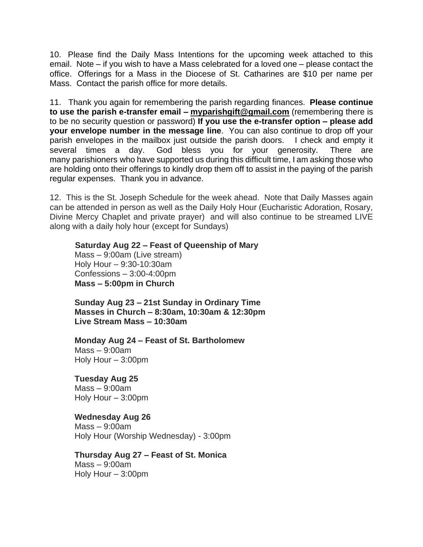10. Please find the Daily Mass Intentions for the upcoming week attached to this email. Note – if you wish to have a Mass celebrated for a loved one – please contact the office. Offerings for a Mass in the Diocese of St. Catharines are \$10 per name per Mass. Contact the parish office for more details.

11. Thank you again for remembering the parish regarding finances. **Please continue to use the parish e-transfer email – [myparishgift@gmail.com](mailto:myparishgift@gmail.com)** (remembering there is to be no security question or password) **If you use the e-transfer option – please add your envelope number in the message line**. You can also continue to drop off your parish envelopes in the mailbox just outside the parish doors. I check and empty it several times a day. God bless you for your generosity. There are many parishioners who have supported us during this difficult time, I am asking those who are holding onto their offerings to kindly drop them off to assist in the paying of the parish regular expenses. Thank you in advance.

12. This is the St. Joseph Schedule for the week ahead. Note that Daily Masses again can be attended in person as well as the Daily Holy Hour (Eucharistic Adoration, Rosary, Divine Mercy Chaplet and private prayer) and will also continue to be streamed LIVE along with a daily holy hour (except for Sundays)

### **Saturday Aug 22 – Feast of Queenship of Mary**

Mass – 9:00am (Live stream) Holy Hour – 9:30-10:30am Confessions – 3:00-4:00pm **Mass – 5:00pm in Church**

**Sunday Aug 23 – 21st Sunday in Ordinary Time Masses in Church – 8:30am, 10:30am & 12:30pm Live Stream Mass – 10:30am**

**Monday Aug 24 – Feast of St. Bartholomew** Mass – 9:00am Holy Hour – 3:00pm

**Tuesday Aug 25** Mass – 9:00am Holy Hour – 3:00pm

#### **Wednesday Aug 26**

Mass – 9:00am Holy Hour (Worship Wednesday) - 3:00pm

# **Thursday Aug 27 – Feast of St. Monica**

Mass – 9:00am Holy Hour – 3:00pm